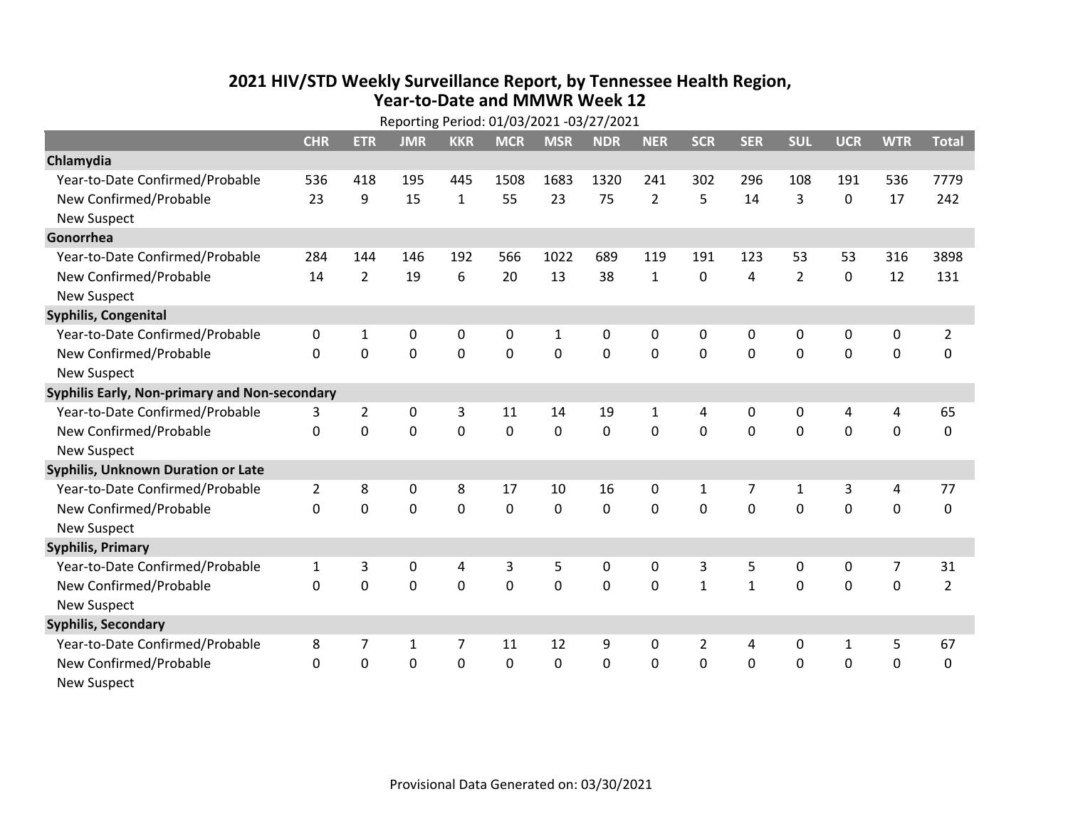## **2021 HIV /STD Weekly Surveillance Report, by Tennessee Health Region, Year‐to‐Date and MMWR Week 12** Reporting Period: 01/03/2021 ‐03/27/2021

| Reporting Period: 01/03/2021 -03/27/2021      |                |                |              |             |             |              |            |                |                |                |                |              |             |                |
|-----------------------------------------------|----------------|----------------|--------------|-------------|-------------|--------------|------------|----------------|----------------|----------------|----------------|--------------|-------------|----------------|
|                                               | <b>CHR</b>     | <b>ETR</b>     | <b>JMR</b>   | <b>KKR</b>  | <b>MCR</b>  | <b>MSR</b>   | <b>NDR</b> | <b>NER</b>     | <b>SCR</b>     | <b>SER</b>     | <b>SUL</b>     | <b>UCR</b>   | <b>WTR</b>  | <b>Total</b>   |
| Chlamydia                                     |                |                |              |             |             |              |            |                |                |                |                |              |             |                |
| Year-to-Date Confirmed/Probable               | 536            | 418            | 195          | 445         | 1508        | 1683         | 1320       | 241            | 302            | 296            | 108            | 191          | 536         | 7779           |
| New Confirmed/Probable                        | 23             | 9              | 15           | $\mathbf 1$ | 55          | 23           | 75         | $\overline{2}$ | 5              | 14             | 3              | 0            | 17          | 242            |
| <b>New Suspect</b>                            |                |                |              |             |             |              |            |                |                |                |                |              |             |                |
| Gonorrhea                                     |                |                |              |             |             |              |            |                |                |                |                |              |             |                |
| Year-to-Date Confirmed/Probable               | 284            | 144            | 146          | 192         | 566         | 1022         | 689        | 119            | 191            | 123            | 53             | 53           | 316         | 3898           |
| New Confirmed/Probable                        | 14             | $\overline{2}$ | 19           | 6           | 20          | 13           | 38         | $\mathbf{1}$   | 0              | $\overline{a}$ | $\overline{2}$ | $\mathbf 0$  | 12          | 131            |
| <b>New Suspect</b>                            |                |                |              |             |             |              |            |                |                |                |                |              |             |                |
| <b>Syphilis, Congenital</b>                   |                |                |              |             |             |              |            |                |                |                |                |              |             |                |
| Year-to-Date Confirmed/Probable               | 0              | 1              | 0            | 0           | 0           | $\mathbf{1}$ | 0          | 0              | 0              | 0              | 0              | 0            | 0           | $\overline{2}$ |
| New Confirmed/Probable                        | $\Omega$       | 0              | 0            | 0           | $\mathbf 0$ | $\mathbf 0$  | 0          | $\mathbf 0$    | 0              | $\mathbf 0$    | $\mathbf 0$    | $\mathbf 0$  | $\mathbf 0$ | 0              |
| <b>New Suspect</b>                            |                |                |              |             |             |              |            |                |                |                |                |              |             |                |
| Syphilis Early, Non-primary and Non-secondary |                |                |              |             |             |              |            |                |                |                |                |              |             |                |
| Year-to-Date Confirmed/Probable               | 3              | $\overline{2}$ | 0            | 3           | 11          | 14           | 19         | $\mathbf{1}$   | 4              | $\mathbf{0}$   | $\mathbf{0}$   | 4            | 4           | 65             |
| New Confirmed/Probable                        | $\Omega$       | $\mathbf 0$    | 0            | 0           | $\Omega$    | 0            | $\Omega$   | $\Omega$       | $\Omega$       | $\mathbf{0}$   | $\Omega$       | $\mathbf 0$  | $\mathbf 0$ | 0              |
| <b>New Suspect</b>                            |                |                |              |             |             |              |            |                |                |                |                |              |             |                |
| Syphilis, Unknown Duration or Late            |                |                |              |             |             |              |            |                |                |                |                |              |             |                |
| Year-to-Date Confirmed/Probable               | $\overline{2}$ | 8              | 0            | 8           | 17          | 10           | 16         | $\mathbf{0}$   | $\mathbf{1}$   | 7              | $\mathbf{1}$   | 3            | 4           | 77             |
| New Confirmed/Probable                        | $\Omega$       | 0              | 0            | 0           | 0           | 0            | $\Omega$   | $\Omega$       | $\Omega$       | $\mathbf{0}$   | $\Omega$       | $\mathbf 0$  | $\mathbf 0$ | 0              |
| <b>New Suspect</b>                            |                |                |              |             |             |              |            |                |                |                |                |              |             |                |
| <b>Syphilis, Primary</b>                      |                |                |              |             |             |              |            |                |                |                |                |              |             |                |
| Year-to-Date Confirmed/Probable               | 1              | 3              | 0            | 4           | 3           | 5            | 0          | 0              | 3              | 5              | 0              | 0            | 7           | 31             |
| New Confirmed/Probable                        | 0              | 0              | $\mathbf 0$  | 0           | $\mathbf 0$ | $\mathbf 0$  | 0          | $\Omega$       | $\mathbf{1}$   | $\mathbf{1}$   | 0              | $\mathbf 0$  | $\mathbf 0$ | $\overline{2}$ |
| <b>New Suspect</b>                            |                |                |              |             |             |              |            |                |                |                |                |              |             |                |
| <b>Syphilis, Secondary</b>                    |                |                |              |             |             |              |            |                |                |                |                |              |             |                |
| Year-to-Date Confirmed/Probable               | 8              | 7              | $\mathbf{1}$ | 7           | 11          | 12           | 9          | $\mathbf{0}$   | $\overline{2}$ | 4              | $\mathbf{0}$   | $\mathbf{1}$ | 5           | 67             |
| New Confirmed/Probable                        | $\Omega$       | 0              | 0            | 0           | $\mathbf 0$ | $\mathbf 0$  | $\Omega$   | $\Omega$       | $\Omega$       | $\mathbf 0$    | $\mathbf 0$    | $\mathbf 0$  | $\mathbf 0$ | 0              |
| New Suspect                                   |                |                |              |             |             |              |            |                |                |                |                |              |             |                |